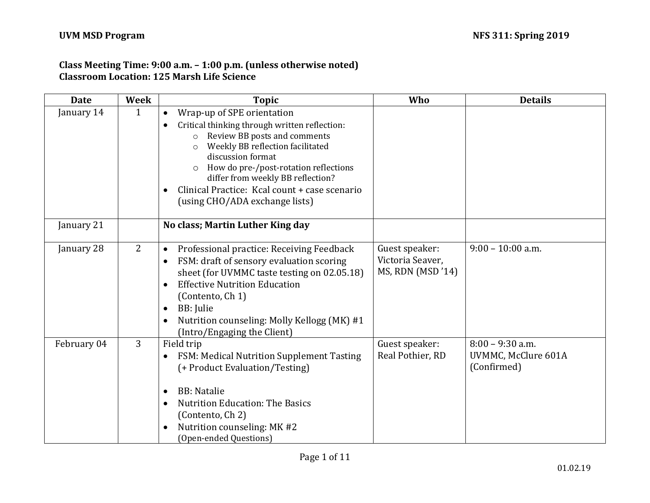# **Class Meeting Time: 9:00 a.m. – 1:00 p.m. (unless otherwise noted) Classroom Location: 125 Marsh Life Science**

| <b>Date</b> | <b>Week</b> | <b>Topic</b>                                                                                                                                                                                                                                                                                                                                                                          | Who                                                    | <b>Details</b>                                           |
|-------------|-------------|---------------------------------------------------------------------------------------------------------------------------------------------------------------------------------------------------------------------------------------------------------------------------------------------------------------------------------------------------------------------------------------|--------------------------------------------------------|----------------------------------------------------------|
| January 14  | 1           | Wrap-up of SPE orientation<br>$\bullet$<br>Critical thinking through written reflection:<br>Review BB posts and comments<br>Weekly BB reflection facilitated<br>$\circ$<br>discussion format<br>How do pre-/post-rotation reflections<br>$\circ$<br>differ from weekly BB reflection?<br>Clinical Practice: Kcal count + case scenario<br>$\bullet$<br>(using CHO/ADA exchange lists) |                                                        |                                                          |
| January 21  |             | No class; Martin Luther King day                                                                                                                                                                                                                                                                                                                                                      |                                                        |                                                          |
| January 28  | 2           | Professional practice: Receiving Feedback<br>$\bullet$<br>FSM: draft of sensory evaluation scoring<br>$\bullet$<br>sheet (for UVMMC taste testing on 02.05.18)<br><b>Effective Nutrition Education</b><br>$\bullet$<br>(Contento, Ch 1)<br>BB: Julie<br>$\bullet$<br>Nutrition counseling: Molly Kellogg (MK) #1<br>$\bullet$<br>(Intro/Engaging the Client)                          | Guest speaker:<br>Victoria Seaver,<br>MS, RDN (MSD'14) | $9:00 - 10:00$ a.m.                                      |
| February 04 | 3           | Field trip<br>FSM: Medical Nutrition Supplement Tasting<br>$\bullet$<br>(+ Product Evaluation/Testing)<br><b>BB</b> : Natalie<br>$\bullet$<br><b>Nutrition Education: The Basics</b><br>$\bullet$<br>(Contento, Ch 2)<br>Nutrition counseling: MK #2<br>$\bullet$<br>(Open-ended Questions)                                                                                           | Guest speaker:<br>Real Pothier, RD                     | $8:00 - 9:30$ a.m.<br>UVMMC, McClure 601A<br>(Confirmed) |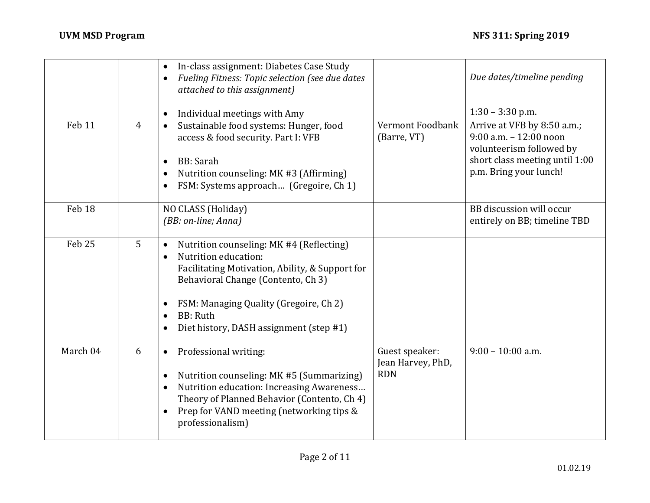|                   |                | In-class assignment: Diabetes Case Study<br>$\bullet$<br>Fueling Fitness: Topic selection (see due dates<br>attached to this assignment)                                                                                                                                                     |                                                   | Due dates/timeline pending                                                                                                                       |
|-------------------|----------------|----------------------------------------------------------------------------------------------------------------------------------------------------------------------------------------------------------------------------------------------------------------------------------------------|---------------------------------------------------|--------------------------------------------------------------------------------------------------------------------------------------------------|
|                   |                | Individual meetings with Amy<br>$\bullet$                                                                                                                                                                                                                                                    |                                                   | $1:30 - 3:30$ p.m.                                                                                                                               |
| Feb 11            | $\overline{4}$ | Sustainable food systems: Hunger, food<br>$\bullet$<br>access & food security. Part I: VFB<br><b>BB</b> : Sarah<br>$\bullet$<br>Nutrition counseling: MK #3 (Affirming)<br>٠<br>FSM: Systems approach (Gregoire, Ch 1)                                                                       | Vermont Foodbank<br>(Barre, VT)                   | Arrive at VFB by 8:50 a.m.;<br>$9:00$ a.m. $-12:00$ noon<br>volunteerism followed by<br>short class meeting until 1:00<br>p.m. Bring your lunch! |
| Feb 18            |                | NO CLASS (Holiday)<br>(BB: on-line; Anna)                                                                                                                                                                                                                                                    |                                                   | BB discussion will occur<br>entirely on BB; timeline TBD                                                                                         |
| Feb <sub>25</sub> | 5              | Nutrition counseling: MK #4 (Reflecting)<br>$\bullet$<br>Nutrition education:<br>$\bullet$<br>Facilitating Motivation, Ability, & Support for<br>Behavioral Change (Contento, Ch 3)<br>FSM: Managing Quality (Gregoire, Ch 2)<br><b>BB</b> : Ruth<br>Diet history, DASH assignment (step #1) |                                                   |                                                                                                                                                  |
| March 04          | 6              | Professional writing:<br>$\bullet$<br>Nutrition counseling: MK #5 (Summarizing)<br>Nutrition education: Increasing Awareness<br>$\bullet$<br>Theory of Planned Behavior (Contento, Ch 4)<br>Prep for VAND meeting (networking tips &<br>$\bullet$<br>professionalism)                        | Guest speaker:<br>Jean Harvey, PhD,<br><b>RDN</b> | $9:00 - 10:00$ a.m.                                                                                                                              |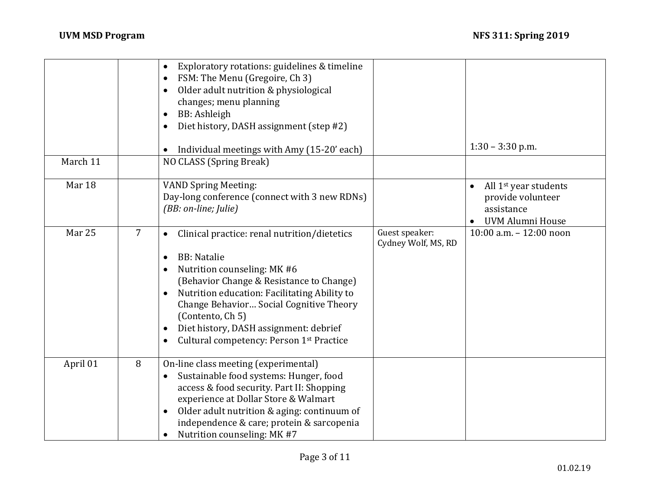|          |                | Exploratory rotations: guidelines & timeline<br>$\bullet$<br>FSM: The Menu (Gregoire, Ch 3)<br>Older adult nutrition & physiological<br>changes; menu planning<br>BB: Ashleigh<br>Diet history, DASH assignment (step #2)                                                                                                                                        |                                       | $1:30 - 3:30$ p.m.                                                                       |
|----------|----------------|------------------------------------------------------------------------------------------------------------------------------------------------------------------------------------------------------------------------------------------------------------------------------------------------------------------------------------------------------------------|---------------------------------------|------------------------------------------------------------------------------------------|
| March 11 |                | Individual meetings with Amy (15-20' each)<br>NO CLASS (Spring Break)                                                                                                                                                                                                                                                                                            |                                       |                                                                                          |
| Mar 18   |                | <b>VAND Spring Meeting:</b><br>Day-long conference (connect with 3 new RDNs)<br>(BB: on-line; Julie)                                                                                                                                                                                                                                                             |                                       | All 1 <sup>st</sup> year students<br>provide volunteer<br>assistance<br>UVM Alumni House |
| Mar 25   | $\overline{7}$ | Clinical practice: renal nutrition/dietetics<br>$\bullet$<br><b>BB</b> : Natalie<br>Nutrition counseling: MK #6<br>(Behavior Change & Resistance to Change)<br>Nutrition education: Facilitating Ability to<br>Change Behavior Social Cognitive Theory<br>(Contento, Ch 5)<br>Diet history, DASH assignment: debrief<br>Cultural competency: Person 1st Practice | Guest speaker:<br>Cydney Wolf, MS, RD | 10:00 a.m. - 12:00 noon                                                                  |
| April 01 | 8              | On-line class meeting (experimental)<br>Sustainable food systems: Hunger, food<br>$\bullet$<br>access & food security. Part II: Shopping<br>experience at Dollar Store & Walmart<br>Older adult nutrition & aging: continuum of<br>$\bullet$<br>independence & care; protein & sarcopenia<br>Nutrition counseling: MK #7                                         |                                       |                                                                                          |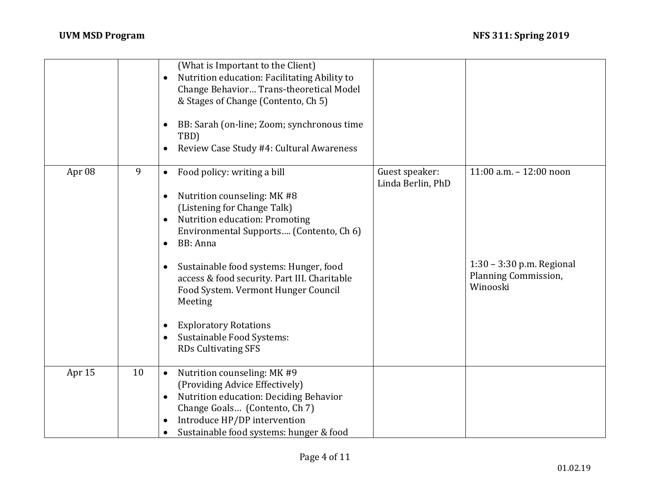|        |    | (What is Important to the Client)<br>Nutrition education: Facilitating Ability to<br>$\bullet$<br>Change Behavior Trans-theoretical Model<br>& Stages of Change (Contento, Ch 5)<br>BB: Sarah (on-line; Zoom; synchronous time<br>TBD)<br>Review Case Study #4: Cultural Awareness                                                                                                                                                                          |                                     |                                                                                          |
|--------|----|-------------------------------------------------------------------------------------------------------------------------------------------------------------------------------------------------------------------------------------------------------------------------------------------------------------------------------------------------------------------------------------------------------------------------------------------------------------|-------------------------------------|------------------------------------------------------------------------------------------|
| Apr 08 | 9  | Food policy: writing a bill<br>$\bullet$<br>Nutrition counseling: MK #8<br>(Listening for Change Talk)<br>Nutrition education: Promoting<br>Environmental Supports (Contento, Ch 6)<br><b>BB</b> : Anna<br>$\bullet$<br>Sustainable food systems: Hunger, food<br>access & food security. Part III. Charitable<br>Food System. Vermont Hunger Council<br>Meeting<br><b>Exploratory Rotations</b><br>Sustainable Food Systems:<br><b>RDs Cultivating SFS</b> | Guest speaker:<br>Linda Berlin, PhD | 11:00 a.m. - 12:00 noon<br>1:30 - 3:30 p.m. Regional<br>Planning Commission,<br>Winooski |
| Apr 15 | 10 | Nutrition counseling: MK #9<br>$\bullet$<br>(Providing Advice Effectively)<br>Nutrition education: Deciding Behavior<br>Change Goals (Contento, Ch 7)<br>Introduce HP/DP intervention<br>Sustainable food systems: hunger & food                                                                                                                                                                                                                            |                                     |                                                                                          |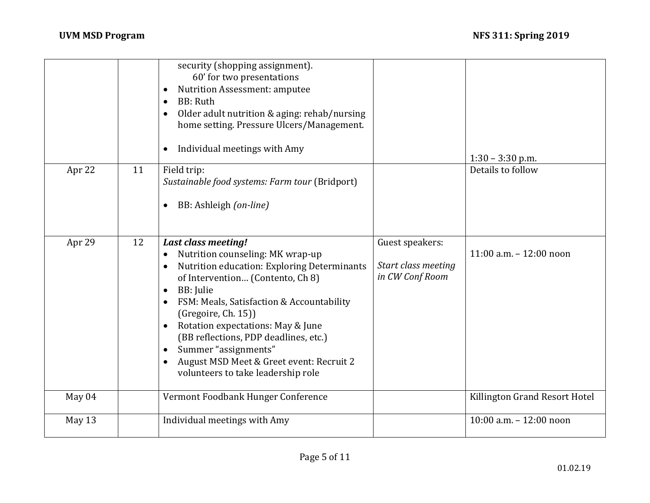|        |    | security (shopping assignment).<br>60' for two presentations<br>Nutrition Assessment: amputee<br><b>BB</b> : Ruth<br>$\bullet$<br>Older adult nutrition & aging: rehab/nursing<br>home setting. Pressure Ulcers/Management.<br>Individual meetings with Amy                                                                                                                                                                                          |                                                           | $1:30 - 3:30$ p.m.            |
|--------|----|------------------------------------------------------------------------------------------------------------------------------------------------------------------------------------------------------------------------------------------------------------------------------------------------------------------------------------------------------------------------------------------------------------------------------------------------------|-----------------------------------------------------------|-------------------------------|
| Apr 22 | 11 | Field trip:<br>Sustainable food systems: Farm tour (Bridport)<br>BB: Ashleigh (on-line)                                                                                                                                                                                                                                                                                                                                                              |                                                           | Details to follow             |
| Apr 29 | 12 | <b>Last class meeting!</b><br>Nutrition counseling: MK wrap-up<br>$\bullet$<br>Nutrition education: Exploring Determinants<br>of Intervention (Contento, Ch 8)<br>BB: Julie<br>$\bullet$<br>FSM: Meals, Satisfaction & Accountability<br>(Gregoire, Ch. 15))<br>Rotation expectations: May & June<br>(BB reflections, PDP deadlines, etc.)<br>Summer "assignments"<br>August MSD Meet & Greet event: Recruit 2<br>volunteers to take leadership role | Guest speakers:<br>Start class meeting<br>in CW Conf Room | 11:00 a.m. $- 12:00$ noon     |
| May 04 |    | Vermont Foodbank Hunger Conference                                                                                                                                                                                                                                                                                                                                                                                                                   |                                                           | Killington Grand Resort Hotel |
| May 13 |    | Individual meetings with Amy                                                                                                                                                                                                                                                                                                                                                                                                                         |                                                           | 10:00 a.m. - 12:00 noon       |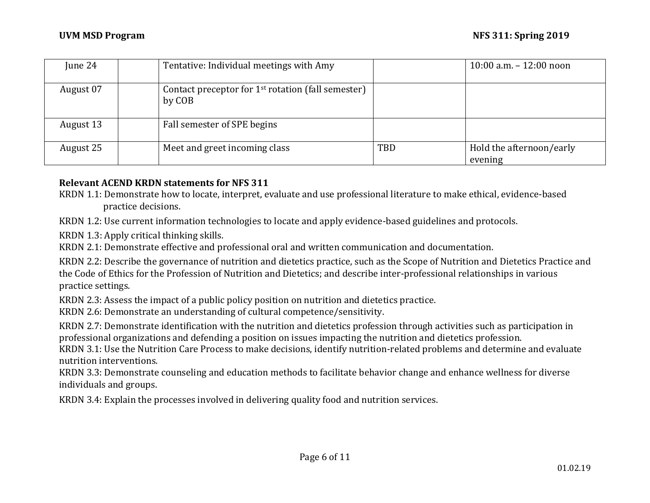| June 24   | Tentative: Individual meetings with Amy                        |            | 10:00 a.m. $- 12:00$ noon           |
|-----------|----------------------------------------------------------------|------------|-------------------------------------|
| August 07 | Contact preceptor for $1st$ rotation (fall semester)<br>by COB |            |                                     |
| August 13 | Fall semester of SPE begins                                    |            |                                     |
| August 25 | Meet and greet incoming class                                  | <b>TBD</b> | Hold the afternoon/early<br>evening |

#### **Relevant ACEND KRDN statements for NFS 311**

KRDN 1.1: Demonstrate how to locate, interpret, evaluate and use professional literature to make ethical, evidence-based practice decisions.

KRDN 1.2: Use current information technologies to locate and apply evidence-based guidelines and protocols.

KRDN 1.3: Apply critical thinking skills.

KRDN 2.1: Demonstrate effective and professional oral and written communication and documentation.

KRDN 2.2: Describe the governance of nutrition and dietetics practice, such as the Scope of Nutrition and Dietetics Practice and the Code of Ethics for the Profession of Nutrition and Dietetics; and describe inter-professional relationships in various practice settings.

KRDN 2.3: Assess the impact of a public policy position on nutrition and dietetics practice.

KRDN 2.6: Demonstrate an understanding of cultural competence/sensitivity.

KRDN 2.7: Demonstrate identification with the nutrition and dietetics profession through activities such as participation in professional organizations and defending a position on issues impacting the nutrition and dietetics profession.

KRDN 3.1: Use the Nutrition Care Process to make decisions, identify nutrition-related problems and determine and evaluate nutrition interventions.

KRDN 3.3: Demonstrate counseling and education methods to facilitate behavior change and enhance wellness for diverse individuals and groups.

KRDN 3.4: Explain the processes involved in delivering quality food and nutrition services.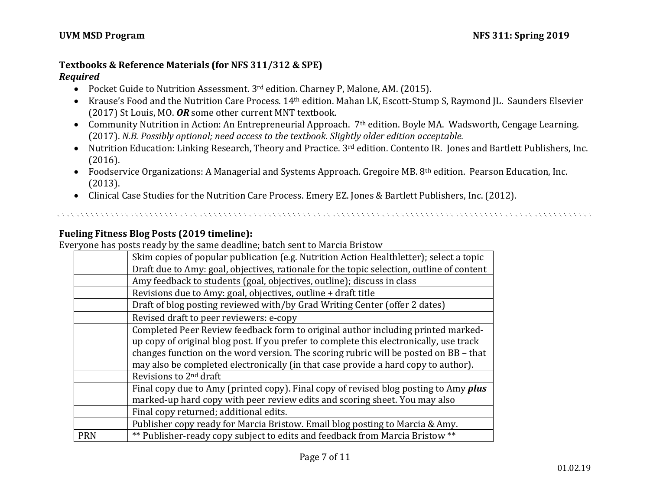# **Textbooks & Reference Materials (for NFS 311/312 & SPE)**

# *Required*

- Pocket Guide to Nutrition Assessment. 3<sup>rd</sup> edition. Charney P, Malone, AM. (2015).
- Krause's Food and the Nutrition Care Process. 14<sup>th</sup> edition. Mahan LK, Escott-Stump S, Raymond JL. Saunders Elsevier (2017) St Louis, MO. *OR* some other current MNT textbook.
- Community Nutrition in Action: An Entrepreneurial Approach. 7<sup>th</sup> edition. Boyle MA. Wadsworth, Cengage Learning. (2017). *N.B. Possibly optional; need access to the textbook. Slightly older edition acceptable.*
- Nutrition Education: Linking Research, Theory and Practice. 3rd edition. Contento IR. Jones and Bartlett Publishers, Inc. (2016).

- Foodservice Organizations: A Managerial and Systems Approach. Gregoire MB. 8th edition. Pearson Education, Inc. (2013).
- Clinical Case Studies for the Nutrition Care Process. Emery EZ. Jones & Bartlett Publishers, Inc. (2012).

# **Fueling Fitness Blog Posts (2019 timeline):**

Everyone has posts ready by the same deadline; batch sent to Marcia Bristow

|            | Skim copies of popular publication (e.g. Nutrition Action Healthletter); select a topic                                                                                                                                                                                                                                                                   |
|------------|-----------------------------------------------------------------------------------------------------------------------------------------------------------------------------------------------------------------------------------------------------------------------------------------------------------------------------------------------------------|
|            | Draft due to Amy: goal, objectives, rationale for the topic selection, outline of content                                                                                                                                                                                                                                                                 |
|            | Amy feedback to students (goal, objectives, outline); discuss in class                                                                                                                                                                                                                                                                                    |
|            | Revisions due to Amy: goal, objectives, outline + draft title                                                                                                                                                                                                                                                                                             |
|            | Draft of blog posting reviewed with/by Grad Writing Center (offer 2 dates)                                                                                                                                                                                                                                                                                |
|            | Revised draft to peer reviewers: e-copy                                                                                                                                                                                                                                                                                                                   |
|            | Completed Peer Review feedback form to original author including printed marked-<br>up copy of original blog post. If you prefer to complete this electronically, use track<br>changes function on the word version. The scoring rubric will be posted on BB – that<br>may also be completed electronically (in that case provide a hard copy to author). |
|            | Revisions to 2 <sup>nd</sup> draft                                                                                                                                                                                                                                                                                                                        |
|            | Final copy due to Amy (printed copy). Final copy of revised blog posting to Amy <i>plus</i><br>marked-up hard copy with peer review edits and scoring sheet. You may also                                                                                                                                                                                 |
|            | Final copy returned; additional edits.                                                                                                                                                                                                                                                                                                                    |
|            | Publisher copy ready for Marcia Bristow. Email blog posting to Marcia & Amy.                                                                                                                                                                                                                                                                              |
| <b>PRN</b> | ** Publisher-ready copy subject to edits and feedback from Marcia Bristow **                                                                                                                                                                                                                                                                              |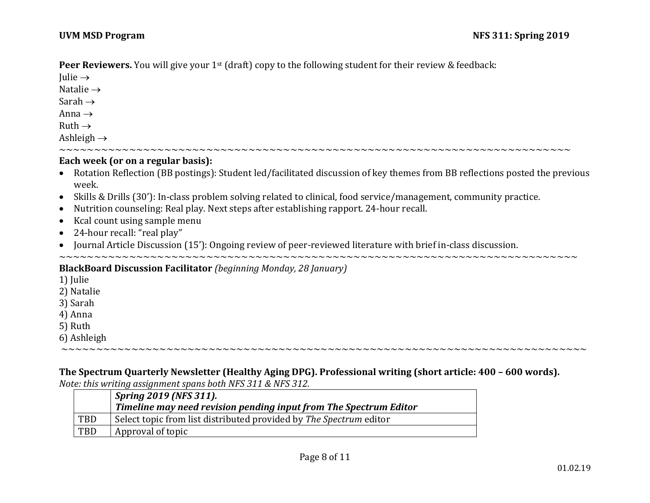**Peer Reviewers.** You will give your 1<sup>st</sup> (draft) copy to the following student for their review & feedback:

Iulie  $\rightarrow$ Natalie  $\rightarrow$ Sarah  $\rightarrow$ Anna  $\rightarrow$  $Ruth \rightarrow$ Ashleigh  $\rightarrow$ 

#### **Each week (or on a regular basis):**

- Rotation Reflection (BB postings): Student led/facilitated discussion of key themes from BB reflections posted the previous week.
- Skills & Drills (30'): In-class problem solving related to clinical, food service/management, community practice.

~~~~~~~~~~~~~~~~~~~~~~~~~~~~~~~~~~~~~~~~~~~~~~~~~~~~~~~~~~~~~~~~~~~~~~~~~

- Nutrition counseling: Real play. Next steps after establishing rapport. 24-hour recall.
- Kcal count using sample menu
- 24-hour recall: "real play"
- Journal Article Discussion (15'): Ongoing review of peer-reviewed literature with brief in-class discussion.

~~~~~~~~~~~~~~~~~~~~~~~~~~~~~~~~~~~~~~~~~~~~~~~~~~~~~~~~~~~~~~~~~~~~~~~~~~

#### **BlackBoard Discussion Facilitator** *(beginning Monday, 28 January)*

- 1) Julie
- 2) Natalie
- 3) Sarah
- 4) Anna
- 5) Ruth
- 6) Ashleigh

**The Spectrum Quarterly Newsletter (Healthy Aging DPG). Professional writing (short article: 400 – 600 words).** *Note: this writing assignment spans both NFS 311 & NFS 312.*

~~~~~~~~~~~~~~~~~~~~~~~~~~~~~~~~~~~~~~~~~~~~~~~~~~~~~~~~~~~~~~~~~~~~~~~~~~~

|            | Spring 2019 (NFS 311).<br>Timeline may need revision pending input from The Spectrum Editor |
|------------|---------------------------------------------------------------------------------------------|
| <b>TBD</b> | Select topic from list distributed provided by The Spectrum editor                          |
| <b>TBD</b> | Approval of topic                                                                           |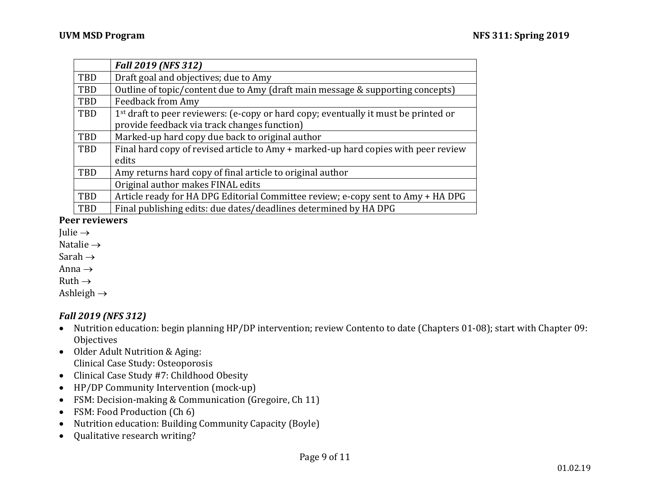|            | <b>Fall 2019 (NFS 312)</b>                                                                      |
|------------|-------------------------------------------------------------------------------------------------|
| TBD        | Draft goal and objectives; due to Amy                                                           |
| TBD        | Outline of topic/content due to Amy (draft main message & supporting concepts)                  |
| <b>TBD</b> | <b>Feedback from Amy</b>                                                                        |
| <b>TBD</b> | 1 <sup>st</sup> draft to peer reviewers: (e-copy or hard copy; eventually it must be printed or |
|            | provide feedback via track changes function)                                                    |
| TBD        | Marked-up hard copy due back to original author                                                 |
| TBD        | Final hard copy of revised article to Amy + marked-up hard copies with peer review              |
|            | edits                                                                                           |
| TBD        | Amy returns hard copy of final article to original author                                       |
|            | Original author makes FINAL edits                                                               |
| TBD        | Article ready for HA DPG Editorial Committee review; e-copy sent to Amy + HA DPG                |
| <b>TBD</b> | Final publishing edits: due dates/deadlines determined by HA DPG                                |

#### **Peer reviewers**

- Julie  $\rightarrow$
- Natalie  $\rightarrow$
- Sarah  $\rightarrow$
- Anna  $\rightarrow$
- Ruth  $\rightarrow$

Ashleigh  $\rightarrow$ 

# *Fall 2019 (NFS 312)*

- Nutrition education: begin planning HP/DP intervention; review Contento to date (Chapters 01-08); start with Chapter 09: **Objectives**
- Older Adult Nutrition & Aging: Clinical Case Study: Osteoporosis
- Clinical Case Study #7: Childhood Obesity
- HP/DP Community Intervention (mock-up)
- FSM: Decision-making & Communication (Gregoire, Ch 11)
- FSM: Food Production (Ch 6)
- Nutrition education: Building Community Capacity (Boyle)
- Qualitative research writing?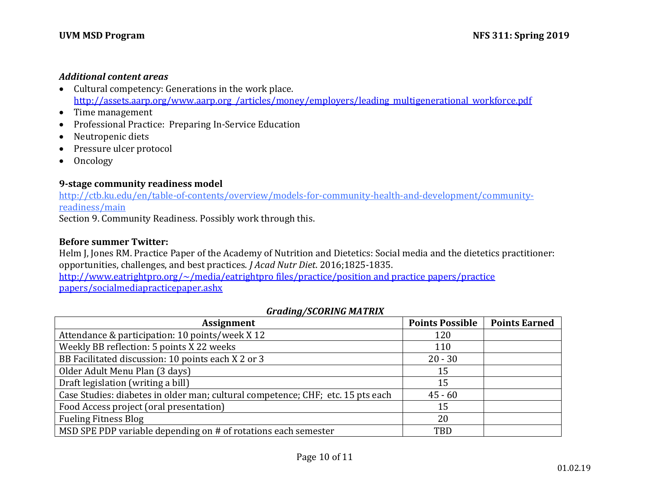#### *Additional content areas*

- Cultural competency: Generations in the work place. http://assets.aarp.org/www.aarp.org\_/articles/money/employers/leading\_multigenerational\_workforce.pdf
- Time management
- Professional Practice: Preparing In-Service Education
- Neutropenic diets
- Pressure ulcer protocol
- Oncology

#### **9-stage community readiness model**

[http://ctb.ku.edu/en/table-of-contents/overview/models-for-community-health-and-development/community](http://ctb.ku.edu/en/table-of-contents/overview/models-for-community-health-and-development/community-readiness/main)[readiness/main](http://ctb.ku.edu/en/table-of-contents/overview/models-for-community-health-and-development/community-readiness/main)

Section 9. Community Readiness. Possibly work through this.

# **Before summer Twitter:**

Helm J, Jones RM. Practice Paper of the Academy of Nutrition and Dietetics: Social media and the dietetics practitioner: opportunities, challenges, and best practices. *J Acad Nutr Diet*. 2016;1825-1835. [http://www.eatrightpro.org/~/media/eatrightpro files/practice/position and practice papers/practice](http://www.eatrightpro.org/~/media/eatrightpro%20files/practice/position%20and%20practice%20papers/practice%20papers/socialmediapracticepaper.ashx)  [papers/socialmediapracticepaper.ashx](http://www.eatrightpro.org/~/media/eatrightpro%20files/practice/position%20and%20practice%20papers/practice%20papers/socialmediapracticepaper.ashx)

# *Grading/SCORING MATRIX*

| ້<br><b>Assignment</b>                                                          | <b>Points Possible</b> | <b>Points Earned</b> |
|---------------------------------------------------------------------------------|------------------------|----------------------|
| Attendance & participation: 10 points/week X 12                                 | 120                    |                      |
| Weekly BB reflection: 5 points X 22 weeks                                       | 110                    |                      |
| BB Facilitated discussion: 10 points each X 2 or 3                              | $20 - 30$              |                      |
| Older Adult Menu Plan (3 days)                                                  | 15                     |                      |
| Draft legislation (writing a bill)                                              | 15                     |                      |
| Case Studies: diabetes in older man; cultural competence; CHF; etc. 15 pts each | $45 - 60$              |                      |
| Food Access project (oral presentation)                                         | 15                     |                      |
| <b>Fueling Fitness Blog</b>                                                     | 20                     |                      |
| MSD SPE PDP variable depending on # of rotations each semester                  | TBD                    |                      |